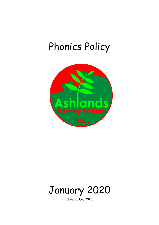# Phonics Policy





Updated Dec 2020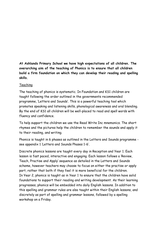**At Ashlands Primary School we have high expectations of all children. The overarching aim of the teaching of Phonics is to ensure that all children build a firm foundation on which they can develop their reading and spelling skills.** 

#### Teaching

The teaching of phonics is systematic. In Foundation and KS1 children are taught following the order outlined in the governments recommended programme, 'Letters and Sounds'. This is a powerful teaching tool which promotes speaking and listening skills, phonological awareness and oral blending. By the end of KS1 all children will be well-placed to read and spell words with fluency and confidence.

To help support the children we use the Read Write Inc mnemonics. The short rhymes and the pictures help the children to remember the sounds and apply it to their reading, and writing.

Phonics is taught in 6 phases as outlined in the Letters and Sounds programme see appendix 1 'Letters and Sounds Phases 1-6'.

Discrete phonics lessons are taught every day in Reception and Year 1. Each lesson is fast paced, interactive and engaging. Each lesson follows a 'Review, Teach, Practise and Apply' sequence as detailed in the Letters and Sounds scheme, however teachers may choose to focus on either the practise or apply part, rather that both if they feel it is more beneficial for the children. In Year 2, phonics is taught as in Year 1 to ensure that the children have solid foundations to support their reading and writing development. As their learning progresses, phonics will be embedded into daily English lessons. In addition to this spelling and grammar rules are also taught within their English lessons, and discretely as part of spelling and grammar lessons, followed by a spelling workshop on a Friday.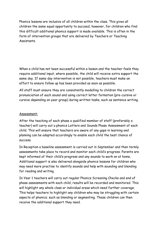Phonics lessons are inclusive of all children within the class. This gives all children the same equal opportunity to succeed, however, for children who find this difficult additional phonics support is made available. This is often in the form of intervention groups that are delivered by Teachers or Teaching **Assistants** 

When a child has not been successful within a lesson and the teacher feels they require additional input, where possible, the child will receive extra support the same day. If same day intervention is not possible, teachers must make an effort to ensure follow up has been provided as soon as possible.

All staff must ensure they are consistently modelling to children the correct pronunciation of each sound and using correct letter formation (pre-cursive or cursive depending on year group) during written tasks, such as sentence writing.

#### Assessment:

After the teaching of each phase a qualified member of staff (preferably a teacher) will carry out a phonics Letters and Sounds Phase Assessment of each child. This will ensure that teachers are aware of any gaps in learning and planning can be adapted accordingly to enable each child the best chance of success.

In Reception a baseline assessment is carried out in September and then termly assessments take place to record and monitor each child's progress. Parents are kept informed of their child's progress and any sounds to work on at home. Additional support is also delivered alongside phonics lessons for children who may need more practise to identify sounds and help with sounding and blending for reading and writing.

In Year 1 teachers will carry out regular Phonics Screening Checks and end of phase assessments with each child, results will be recorded and monitored. This will highlight any whole class or individual areas which need further coverage. This helps teachers to highlight any children who may be struggling with certain aspects of phonics; such as blending or segmenting. These children can then receive the additional support they need.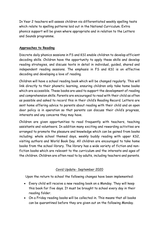In Year 2 teachers will assess children via differentiated weekly spelling tests which relate to spelling patterns laid out in the National Curriculum. Extra phonics support will be given where appropriate and in relation to the Letters and Sounds programme.

### **Approaches to Reading**

Discrete daily phonics sessions in FS and KS1 enable children to develop efficient decoding skills. Children have the opportunity to apply these skills and develop reading strategies, and discuss texts in detail in individual, guided, shared and independent reading sessions. The emphasis in FS and KS1 is on effective decoding and developing a love of reading.

Children will have a school reading book which will be changed regularly. This will link directly to their phonetic learning, ensuring children only take home books which are accessible. These books are used to support the development of reading and comprehension skills. Parents are encouraged to read with their child as often as possible and asked to record this in their child's Reading Record. Letters are sent home offering advice to parents about reading with their child and an open door policy is in operation so that parents can discuss their child's progress, interests and any concerns they may have.

Children are given opportunities to read frequently with teachers, teaching assistants and volunteers. In addition many exciting and rewarding activities are arranged to promote the pleasure and knowledge which can be gained from books including; whole school themed days, weekly buddy reading with upper KS2, visiting authors and World Book Day. All children are encouraged to take home books from the school library. The library has a wide variety of fiction and nonfiction books which are relevant to the curriculum and the interests and ages of the children. Children are often read to by adults, including teachers and parents.

## Covid Update- September 2020

Upon the return to school the following changes have been implemented:

- Every child will receive a new reading book on a Monday. They will keep this book for five days. It must be brought to school every day in their reading folder.
- On a Friday reading books will be collected in. This means that all books can be quarantined before they are given out on the following Monday.